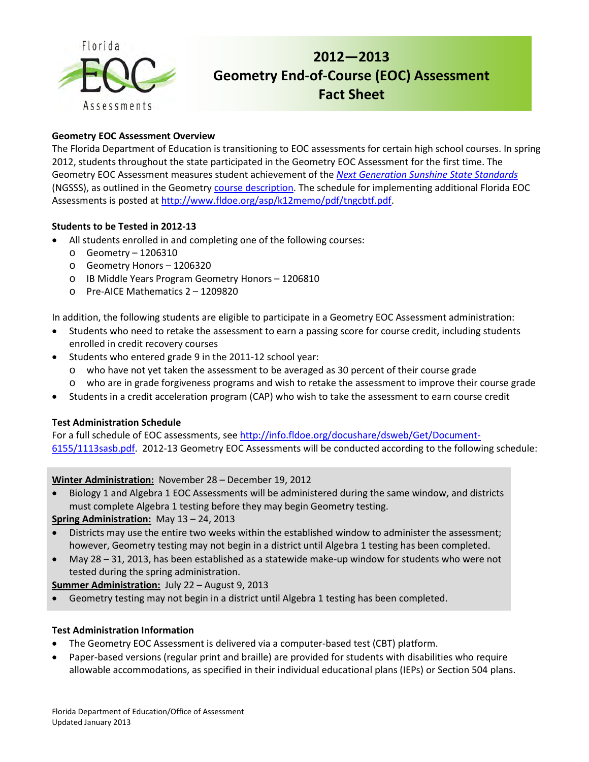

# **2012—2013 Geometry End-of-Course (EOC) Assessment Fact Sheet**

## **Geometry EOC Assessment Overview**

The Florida Department of Education is transitioning to EOC assessments for certain high school courses. In spring 2012, students throughout the state participated in the Geometry EOC Assessment for the first time. The Geometry EOC Assessment measures student achievement of the *[Next Generation Sunshine State Standards](http://www.floridastandards.org/index.aspx)* (NGSSS), as outlined in the Geometr[y course description.](http://www.cpalms.org/Courses/PublicPreviewCourse36.aspx?kw=geometry) The schedule for implementing additional Florida EOC Assessments is posted a[t http://www.fldoe.org/asp/k12memo/pdf/tngcbtf.pdf.](http://www.fldoe.org/asp/k12memo/pdf/tngcbtf.pdf)

#### **Students to be Tested in 2012-13**

- All students enrolled in and completing one of the following courses:
	- o Geometry 1206310
	- o Geometry Honors 1206320
	- o IB Middle Years Program Geometry Honors 1206810
	- o Pre-AICE Mathematics 2 1209820

In addition, the following students are eligible to participate in a Geometry EOC Assessment administration:

- Students who need to retake the assessment to earn a passing score for course credit, including students enrolled in credit recovery courses
- Students who entered grade 9 in the 2011-12 school year:
	- o who have not yet taken the assessment to be averaged as 30 percent of their course grade
	- o who are in grade forgiveness programs and wish to retake the assessment to improve their course grade
- Students in a credit acceleration program (CAP) who wish to take the assessment to earn course credit

#### **Test Administration Schedule**

For a full schedule of EOC assessments, se[e http://info.fldoe.org/docushare/dsweb/Get/Document-](http://info.fldoe.org/docushare/dsweb/Get/Document-6155/1113sasb.pdf)[6155/1113sasb.pdf. 2](http://info.fldoe.org/docushare/dsweb/Get/Document-6155/1113sasb.pdf)012-13 Geometry EOC Assessments will be conducted according to the following schedule:

#### **Winter Administration:** November 28 – December 19, 2012

• Biology 1 and Algebra 1 EOC Assessments will be administered during the same window, and districts must complete Algebra 1 testing before they may begin Geometry testing.

#### **Spring Administration:** May 13 – 24, 2013

- Districts may use the entire two weeks within the established window to administer the assessment; however, Geometry testing may not begin in a district until Algebra 1 testing has been completed.
- May 28 31, 2013, has been established as a statewide make-up window for students who were not tested during the spring administration.

#### **Summer Administration:** July 22 – August 9, 2013

• Geometry testing may not begin in a district until Algebra 1 testing has been completed.

#### **Test Administration Information**

- The Geometry EOC Assessment is delivered via a computer-based test (CBT) platform.
- Paper-based versions (regular print and braille) are provided for students with disabilities who require allowable accommodations, as specified in their individual educational plans (IEPs) or Section 504 plans.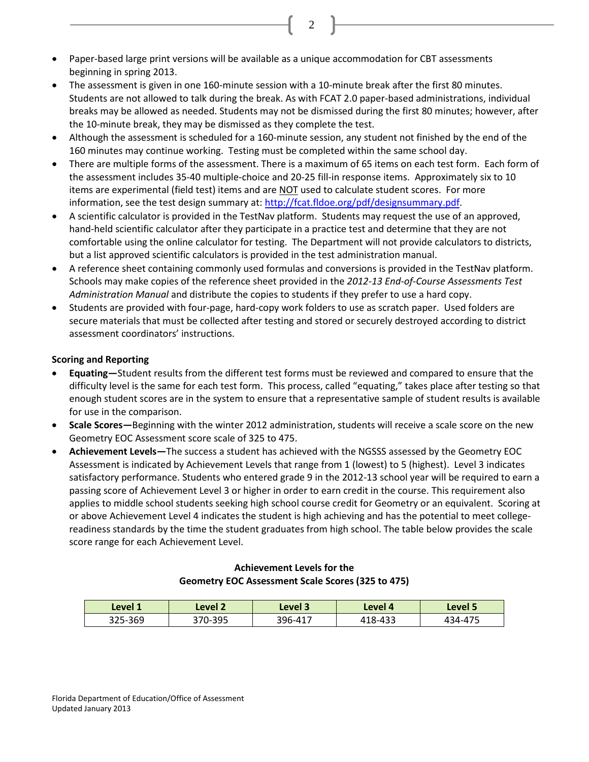- Paper-based large print versions will be available as a unique accommodation for CBT assessments beginning in spring 2013.
- The assessment is given in one 160-minute session with a 10-minute break after the first 80 minutes. Students are not allowed to talk during the break. As with FCAT 2.0 paper-based administrations, individual breaks may be allowed as needed. Students may not be dismissed during the first 80 minutes; however, after the 10-minute break, they may be dismissed as they complete the test.
- Although the assessment is scheduled for a 160-minute session, any student not finished by the end of the 160 minutes may continue working. Testing must be completed within the same school day.
- There are multiple forms of the assessment. There is a maximum of 65 items on each test form. Each form of the assessment includes 35-40 multiple-choice and 20-25 fill-in response items. Approximately six to 10 items are experimental (field test) items and are NOT used to calculate student scores. For more information, see the test design summary at: [http://fcat.fldoe.org/pdf/designsummary.pdf.](http://fcat.fldoe.org/pdf/designsummary.pdf)
- A scientific calculator is provided in the TestNav platform. Students may request the use of an approved, hand-held scientific calculator after they participate in a practice test and determine that they are not comfortable using the online calculator for testing. The Department will not provide calculators to districts, but a list approved scientific calculators is provided in the test administration manual.
- A reference sheet containing commonly used formulas and conversions is provided in the TestNav platform. Schools may make copies of the reference sheet provided in the *2012-13 End-of-Course Assessments Test Administration Manual* and distribute the copies to students if they prefer to use a hard copy.
- Students are provided with four-page, hard-copy work folders to use as scratch paper. Used folders are secure materials that must be collected after testing and stored or securely destroyed according to district assessment coordinators' instructions.

## **Scoring and Reporting**

- **Equating—**Student results from the different test forms must be reviewed and compared to ensure that the difficulty level is the same for each test form. This process, called "equating," takes place after testing so that enough student scores are in the system to ensure that a representative sample of student results is available for use in the comparison.
- **Scale Scores—**Beginning with the winter 2012 administration, students will receive a scale score on the new Geometry EOC Assessment score scale of 325 to 475.
- **Achievement Levels—**The success a student has achieved with the NGSSS assessed by the Geometry EOC Assessment is indicated by Achievement Levels that range from 1 (lowest) to 5 (highest). Level 3 indicates satisfactory performance. Students who entered grade 9 in the 2012-13 school year will be required to earn a passing score of Achievement Level 3 or higher in order to earn credit in the course. This requirement also applies to middle school students seeking high school course credit for Geometry or an equivalent. Scoring at or above Achievement Level 4 indicates the student is high achieving and has the potential to meet collegereadiness standards by the time the student graduates from high school. The table below provides the scale score range for each Achievement Level.

## **Achievement Levels for the Geometry EOC Assessment Scale Scores (325 to 475)**

| Level 1 | Level 2 | Level 3 | Level 4 | Level 5 |
|---------|---------|---------|---------|---------|
| 325-369 | 370-395 | 396-417 | 418-433 | 434-475 |

2